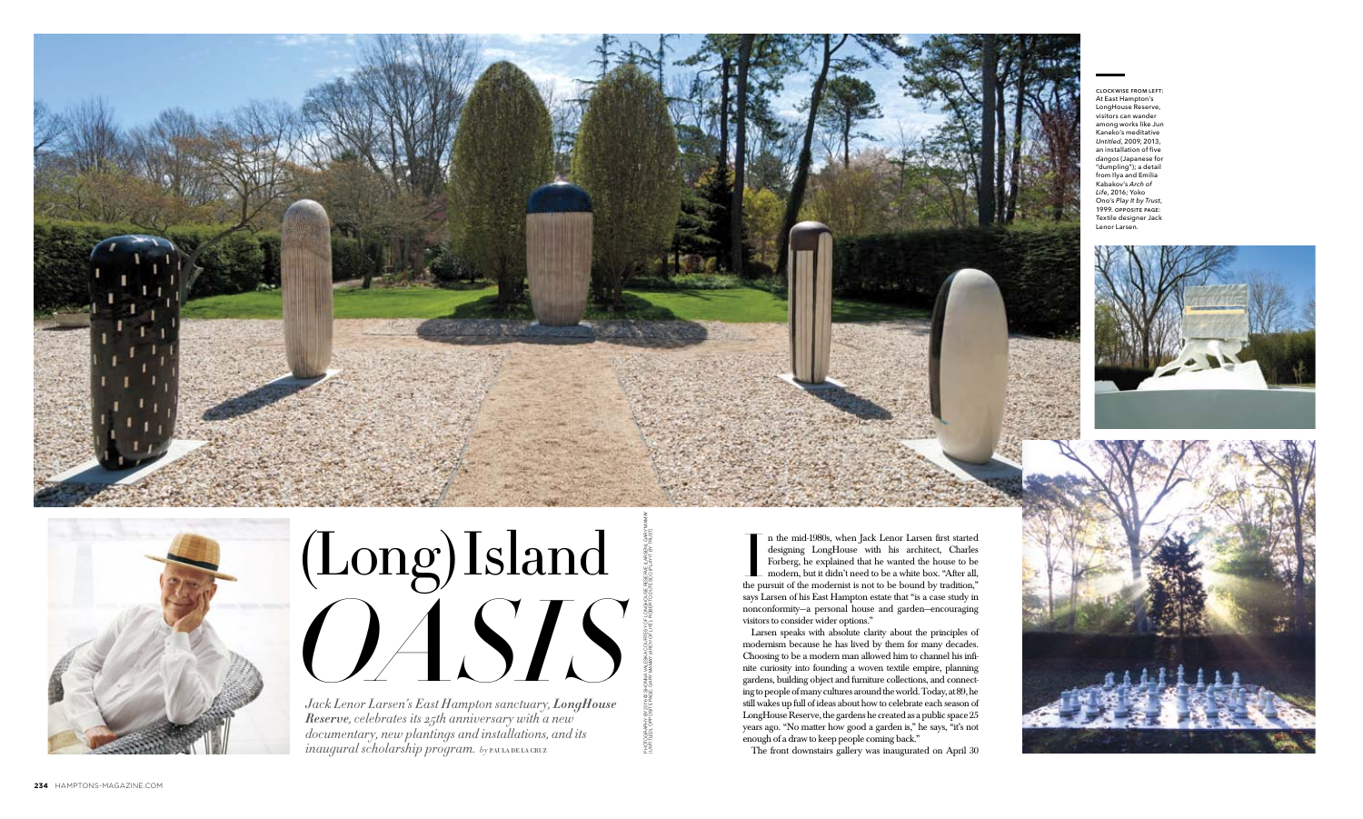# (Long) Island *Obstract Larsen's East Hampton sanctuary, LongHouse*

*Jack Lenor Larsen's East Hampton sanctuary, LongHouse Reserve, celebrates its 25th anniversary with a new documentary, new plantings and installations, and its*   $i$ *naugural scholarship program.* by PAULA DE LA CRUZ



photography by 2016 © Shonna Valeska courtesy of LongHouse Reserve (Larsen); Gary Mamay (*untitled*). opposite page: Gary mamay (*arch of life*); Roberto Dutesco (*Play it by Trust*)



In the mid-1980s, when Jack Lenor Larsen first started designing LongHouse with his architect, Charles Forberg, he explained that he wanted the house to be modern, but it didn't need to be a white box. "After all, the purs n the mid-1980s, when Jack Lenor Larsen first started designing LongHouse with his architect, Charles Forberg, he explained that he wanted the house to be modern, but it didn't need to be a white box. "After all, says Larsen of his East Hampton estate that "is a case study in nonconformity—a personal house and garden—encouraging visitors to consider wider options."

Larsen speaks with absolute clarity about the principles of modernism because he has lived by them for many decades. Choosing to be a modern man allowed him to channel his infinite curiosity into founding a woven textile empire, planning gardens, building object and furniture collections, and connecting to people of many cultures around the world. Today, at 89, he still wakes up full of ideas about how to celebrate each season of LongHouse Reserve, the gardens he created as a public space 25 years ago. "No matter how good a garden is," he says, "it's not enough of a draw to keep people coming back." The front downstairs gallery was inaugurated on April 30

clockwise from left: At East Hampton's LongHouse Reserve, visitors can wander among works like Jun Kaneko's meditative *Untitled*, 2009, 2013, an installation of five *dangos* (Japanese for "dumpling"); a detail from Ilya and Emilia Kabakov's *Arch of Life*, 2016; Yoko Ono's *Play It by Trust*, 1999. opposite page: Textile designer Jack Lenor Larsen.